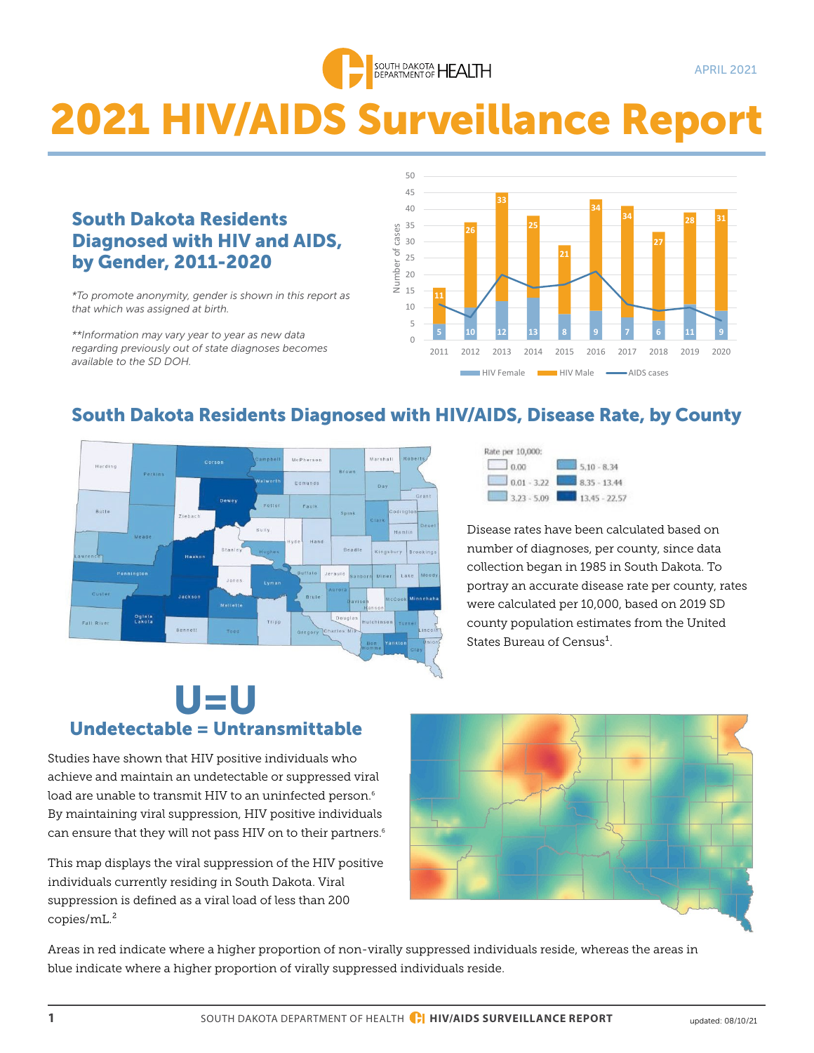

# 2021 HIV/AIDS Surveillance Report

### South Dakota Residents Diagnosed with HIV and AIDS, by Gender, 2011-2020

**by Gender, ZUII-ZUZU**<br> *\*To promote anonymity, gender is shown in this report as that which was assigned at birth.*

*\*\*Information may vary year to year as new data regarding previously out of state diagnoses becomes available to the SD DOH.*



# South Dakota Residents Diagnosed with HIV/AIDS, Disease Rate, by County





Disease rates have been calculated based on number of diagnoses, per county, since data collection began in 1985 in South Dakota. To portray an accurate disease rate per county, rates were calculated per 10,000, based on 2019 SD county population estimates from the United States Bureau of Census<sup>1</sup>.

# U=U Undetectable = Untransmittable

Studies have shown that HIV positive individuals who achieve and maintain an undetectable or suppressed viral load are unable to transmit HIV to an uninfected person.<sup>6</sup> By maintaining viral suppression, HIV positive individuals can ensure that they will not pass HIV on to their partners. $6$ 

This map displays the viral suppression of the HIV positive individuals currently residing in South Dakota. Viral suppression is defined as a viral load of less than 200 copies/mL.²



Areas in red indicate where a higher proportion of non-virally suppressed individuals reside, whereas the areas in blue indicate where a higher proportion of virally suppressed individuals reside.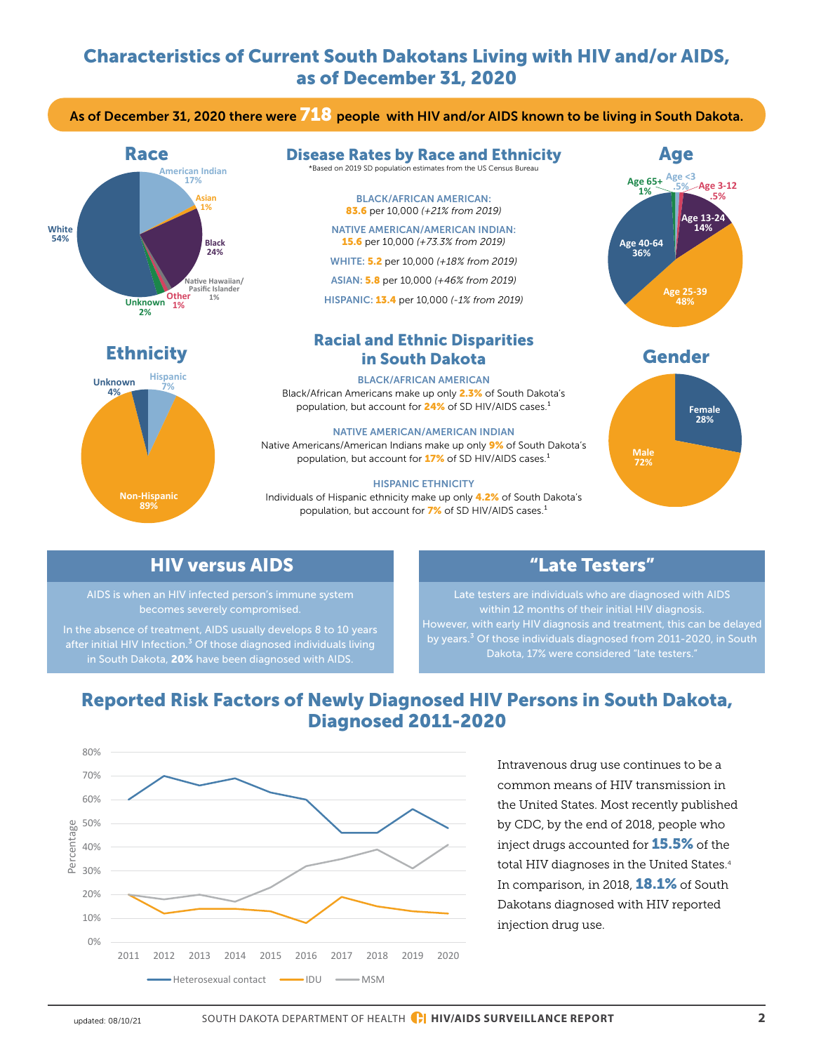# Characteristics of Current South Dakotans Living with HIV and/or AIDS, as of December 31, 2020

As of December 31, 2020 there were  $718$  people with HIV and/or AIDS known to be living in South Dakota.





#### Disease Rates by Race and Ethnicity \*Based on 2019 SD population estimates from the US Census Bureau

BLACK/AFRICAN AMERICAN: 83.6 per 10,000 *(+21% from 2019)* 

NATIVE AMERICAN/AMERICAN INDIAN: 15.6 per 10,000 *(+73.3% from 2019)*

WHITE: 5.2 per 10,000 *(+18% from 2019)* 

ASIAN: 5.8 per 10,000 *(+46% from 2019)* 

HISPANIC: 13.4 per 10,000 *(-1% from 2019)*

### Ethnicity Gender in South Dakota Racial and Ethnic Disparities

BLACK/AFRICAN AMERICAN Black/African Americans make up only 2.3% of South Dakota's population, but account for 24% of SD HIV/AIDS cases.<sup>1</sup>

NATIVE AMERICAN/AMERICAN INDIAN Native Americans/American Indians make up only 9% of South Dakota's population, but account for 17% of SD HIV/AIDS cases.<sup>1</sup>

#### HISPANIC ETHNICITY

Individuals of Hispanic ethnicity make up only 4.2% of South Dakota's population, but account for 7% of SD HIV/AIDS cases.<sup>1</sup>







### HIV versus AIDS

AIDS is when an HIV infected person's immune system becomes severely compromised.

In the absence of treatment, AIDS usually develops 8 to 10 years after initial HIV Infection.<sup>3</sup> Of those diagnosed individuals living in South Dakota, 20% have been diagnosed with AIDS.

### "Late Testers"

Late testers are individuals who are diagnosed with AIDS within 12 months of their initial HIV diagnosis. However, with early HIV diagnosis and treatment, this can be delayed by years.<sup>3</sup> Of those individuals diagnosed from 2011-2020, in South Dakota, 17% were considered "late testers."

# Reported Risk Factors of Newly Diagnosed HIV Persons in South Dakota, Diagnosed 2011-2020



Intravenous drug use continues to be a common means of HIV transmission in the United States. Most recently published by CDC, by the end of 2018, people who inject drugs accounted for **15.5%** of the total HIV diagnoses in the United States.<sup>4</sup> In comparison, in 2018, **18.1%** of South Dakotans diagnosed with HIV reported injection drug use.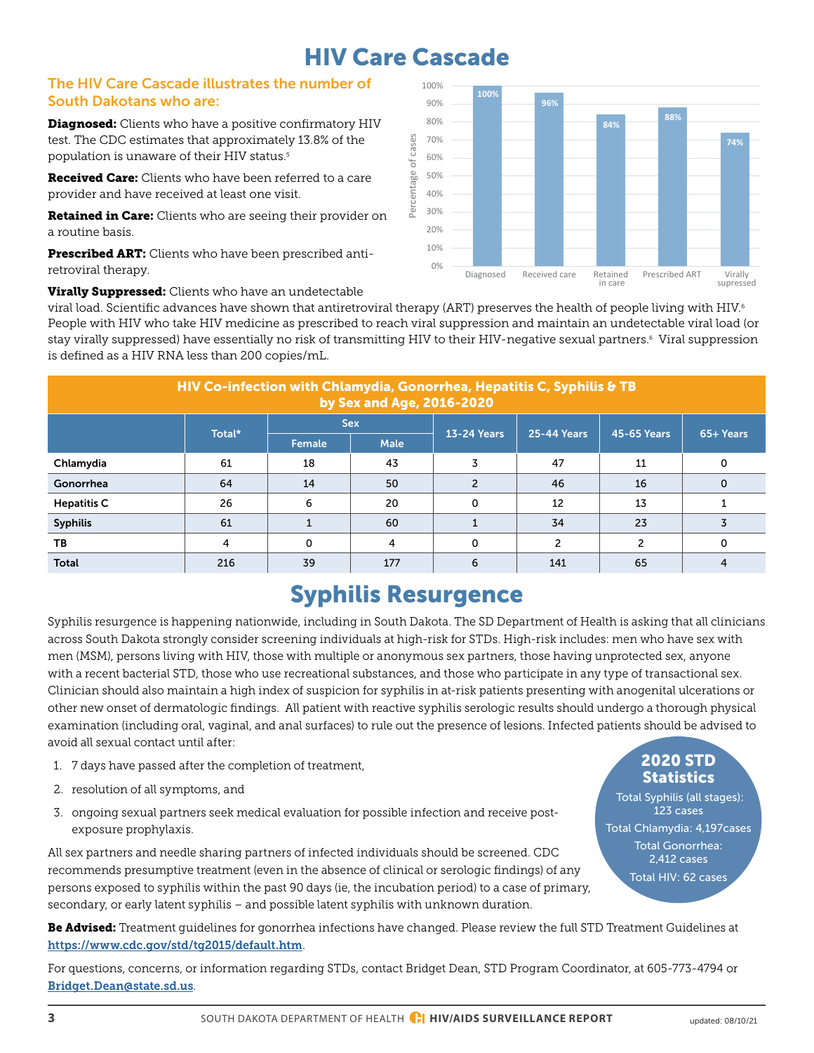# HIV Care Cascade

### The HIV Care Cascade illustrates the number of South Dakotans who are:

Diagnosed: Clients who have a positive confirmatory HIV test. The CDC estimates that approximately 13.8% of the population is unaware of their HIV status.<sup>5</sup>

**Received Care:** Clients who have been referred to a care provider and have received at least one visit.

Retained in Care: Clients who are seeing their provider on a routine basis.

Prescribed ART: Clients who have been prescribed antiretroviral therapy.



**Virally Suppressed:** Clients who have an undetectable

viral load. Scientific advances have shown that antiretroviral therapy (ART) preserves the health of people living with HIV. $^{\rm 6}$ People with HIV who take HIV medicine as prescribed to reach viral suppression and maintain an undetectable viral load (or stay virally suppressed) have essentially no risk of transmitting HIV to their HIV-negative sexual partners.6 Viral suppression is defined as a HIV RNA less than 200 copies/mL.

| HIV Co-infection with Chlamydia, Gonorrhea, Hepatitis C, Syphilis & TB<br>by Sex and Age, 2016-2020 |        |            |             |                    |                    |                    |           |
|-----------------------------------------------------------------------------------------------------|--------|------------|-------------|--------------------|--------------------|--------------------|-----------|
|                                                                                                     | Total* | <b>Sex</b> |             | <b>13-24 Years</b> | <b>25-44 Years</b> | <b>45-65 Years</b> | 65+ Years |
|                                                                                                     |        | Female     | <b>Male</b> |                    |                    |                    |           |
| Chlamydia                                                                                           | 61     | 18         | 43          | 3                  | 47                 | 11                 | 0         |
| Gonorrhea                                                                                           | 64     | 14         | 50          | 2                  | 46                 | 16                 | 0         |
| <b>Hepatitis C</b>                                                                                  | 26     | 6          | 20          | 0                  | 12                 | 13                 |           |
| <b>Syphilis</b>                                                                                     | 61     |            | 60          |                    | 34                 | 23                 |           |
| TB                                                                                                  | 4      | $\Omega$   | 4           | 0                  |                    |                    | 0         |
| <b>Total</b>                                                                                        | 216    | 39         | 177         | 6                  | 141                | 65                 |           |

# Syphilis Resurgence

Syphilis resurgence is happening nationwide, including in South Dakota. The SD Department of Health is asking that all clinicians across South Dakota strongly consider screening individuals at high-risk for STDs. High-risk includes: men who have sex with men (MSM), persons living with HIV, those with multiple or anonymous sex partners, those having unprotected sex, anyone with a recent bacterial STD, those who use recreational substances, and those who participate in any type of transactional sex. Clinician should also maintain a high index of suspicion for syphilis in at-risk patients presenting with anogenital ulcerations or other new onset of dermatologic findings. All patient with reactive syphilis serologic results should undergo a thorough physical examination (including oral, vaginal, and anal surfaces) to rule out the presence of lesions. Infected patients should be advised to avoid all sexual contact until after:

- 1. 7 days have passed after the completion of treatment,
- 2. resolution of all symptoms, and
- 3. ongoing sexual partners seek medical evaluation for possible infection and receive postexposure prophylaxis.

All sex partners and needle sharing partners of infected individuals should be screened. CDC recommends presumptive treatment (even in the absence of clinical or serologic findings) of any persons exposed to syphilis within the past 90 days (ie, the incubation period) to a case of primary, secondary, or early latent syphilis – and possible latent syphilis with unknown duration.

### 2020 STD **Statistics**

 Total Syphilis (all stages): 123 cases Total Chlamydia: 4,197cases Total Gonorrhea: 2,412 cases Total HIV: 62 cases

Be Advised: Treatment guidelines for gonorrhea infections have changed. Please review the full STD Treatment Guidelines at <https://www.cdc.gov/std/tg2015/default.htm>.

For questions, concerns, or information regarding STDs, contact Bridget Dean, STD Program Coordinator, at 605-773-4794 or B[ridget.Dean@state.sd.us](mailto:bridget.dean%40state.sd.us?subject=STDs).